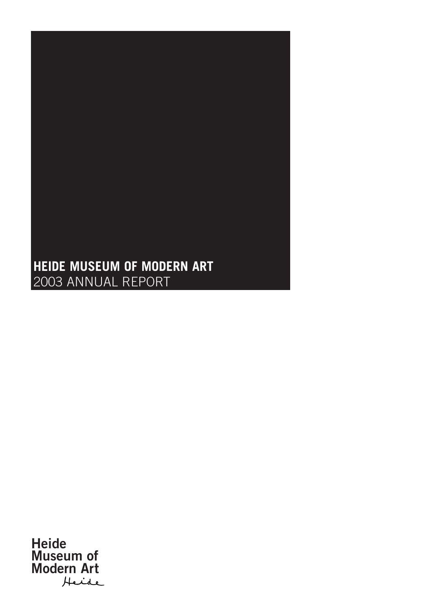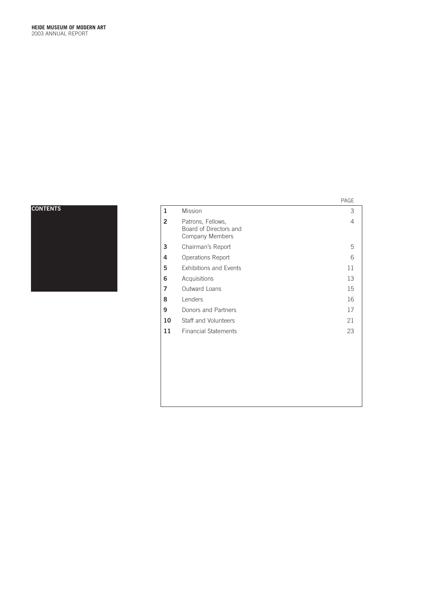**CONTENTS**

|                |                                                                | PAGE |
|----------------|----------------------------------------------------------------|------|
| $\mathbf{1}$   | <b>Mission</b>                                                 | 3    |
| $\overline{2}$ | Patrons, Fellows,<br>Board of Directors and<br>Company Members | 4    |
| 3              | Chairman's Report                                              | 5    |
| 4              | Operations Report                                              | 6    |
| 5              | <b>Exhibitions and Events</b>                                  | 11   |
| 6              | Acquisitions                                                   | 13   |
| 7              | Outward Loans                                                  | 15   |
| 8              | Lenders                                                        | 16   |
| 9              | Donors and Partners                                            | 17   |
| 10             | Staff and Volunteers                                           | 21   |
| 11             | <b>Financial Statements</b>                                    | 23   |
|                |                                                                |      |
|                |                                                                |      |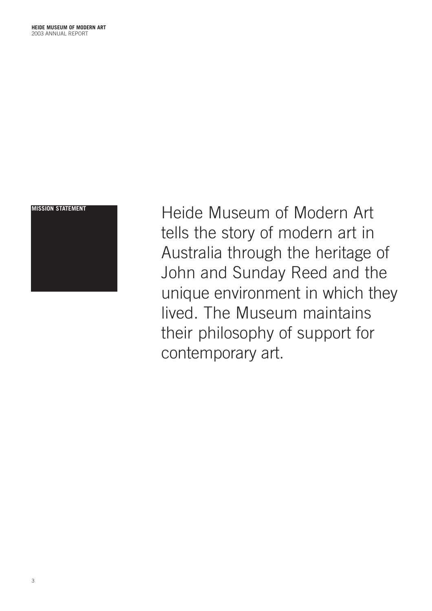

**MISSION STATEMENT CONTRACTLE HEADER** Heide Museum of Modern Art tells the story of modern art in Australia through the heritage of John and Sunday Reed and the unique environment in which they lived. The Museum maintains their philosophy of support for contemporary art.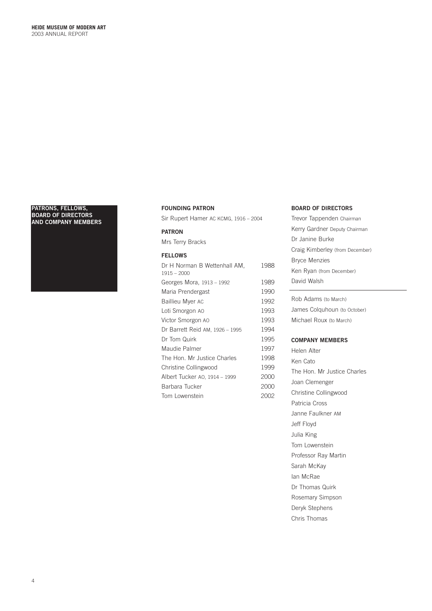### **PATRONS, FELLOWS, BOARD OF DIRECTORS AND COMPANY MEMBERS**



# **FOUNDING PATRON**

Sir Rupert Hamer AC KCMG, 1916 – 2004

# **PATRON**

Mrs Terry Bracks

# **FELLOWS**

| Dr H Norman B Wettenhall AM,<br>$1915 - 2000$ | 1988 |
|-----------------------------------------------|------|
| Georges Mora, 1913 - 1992                     | 1989 |
| Maria Prendergast                             | 1990 |
| Baillieu Myer AC                              | 1992 |
| Loti Smorgon AO                               | 1993 |
| Victor Smorgon AO                             | 1993 |
| Dr Barrett Reid AM, 1926 - 1995               | 1994 |
| Dr Tom Quirk                                  | 1995 |
| Maudie Palmer                                 | 1997 |
| The Hon. Mr Justice Charles                   | 1998 |
| Christine Collingwood                         | 1999 |
| Albert Tucker A0, 1914 - 1999                 | 2000 |
| Barbara Tucker                                | 2000 |
| Tom Lowenstein                                | 2002 |

# **BOARD OF DIRECTORS**

Trevor Tappenden Chairman Kerry Gardner Deputy Chairman Dr Janine Burke Craig Kimberley (from December) Bryce Menzies Ken Ryan (from December) David Walsh

Rob Adams (to March) James Colquhoun (to October) Michael Roux (to March)

# **COMPANY MEMBERS**

Helen Alter Ken Cato The Hon. Mr Justice Charles Joan Clemenger Christine Collingwood Patricia Cross Janne Faulkner AM Jeff Floyd Julia King Tom Lowenstein Professor Ray Martin Sarah McKay Ian McRae Dr Thomas Quirk Rosemary Simpson Deryk Stephens Chris Thomas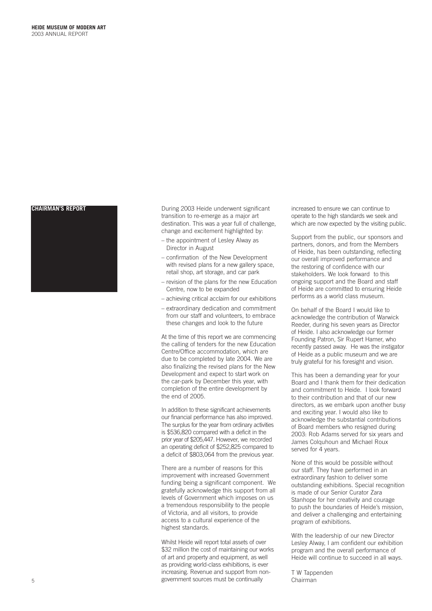

**CHAIRMAN'S REPORT During 2003 Heide underwent significant** transition to re-emerge as a major art destination. This was a year full of challenge, change and excitement highlighted by:

- the appointment of Lesley Alway as Director in August
- confirmation of the New Development with revised plans for a new gallery space, retail shop, art storage, and car park
- revision of the plans for the new Education Centre, now to be expanded
- achieving critical acclaim for our exhibitions
- extraordinary dedication and commitment from our staff and volunteers, to embrace these changes and look to the future

At the time of this report we are commencing the calling of tenders for the new Education Centre/Office accommodation, which are due to be completed by late 2004. We are also finalizing the revised plans for the New Development and expect to start work on the car-park by December this year, with completion of the entire development by the end of 2005.

In addition to these significant achievements our financial performance has also improved. The surplus for the year from ordinary activities is \$536,820 compared with a deficit in the prior year of \$205,447. However, we recorded an operating deficit of \$252,825 compared to a deficit of \$803,064 from the previous year.

There are a number of reasons for this improvement with increased Government funding being a significant component. We gratefully acknowledge this support from all levels of Government which imposes on us a tremendous responsibility to the people of Victoria, and all visitors, to provide access to a cultural experience of the highest standards.

Whilst Heide will report total assets of over \$32 million the cost of maintaining our works of art and property and equipment, as well as providing world-class exhibitions, is ever increasing. Revenue and support from nongovernment sources must be continually 5 Chairman

increased to ensure we can continue to operate to the high standards we seek and which are now expected by the visiting public.

Support from the public, our sponsors and partners, donors, and from the Members of Heide, has been outstanding, reflecting our overall improved performance and the restoring of confidence with our stakeholders. We look forward to this ongoing support and the Board and staff of Heide are committed to ensuring Heide performs as a world class museum.

On behalf of the Board I would like to acknowledge the contribution of Warwick Reeder, during his seven years as Director of Heide. I also acknowledge our former Founding Patron, Sir Rupert Hamer, who recently passed away. He was the instigator of Heide as a public museum and we are truly grateful for his foresight and vision.

This has been a demanding year for your Board and I thank them for their dedication and commitment to Heide. I look forward to their contribution and that of our new directors, as we embark upon another busy and exciting year. I would also like to acknowledge the substantial contributions of Board members who resigned during 2003: Rob Adams served for six years and James Colquhoun and Michael Roux served for 4 years.

None of this would be possible without our staff. They have performed in an extraordinary fashion to deliver some outstanding exhibitions. Special recognition is made of our Senior Curator Zara Stanhope for her creativity and courage to push the boundaries of Heide's mission, and deliver a challenging and entertaining program of exhibitions.

With the leadership of our new Director Lesley Alway, I am confident our exhibition program and the overall performance of Heide will continue to succeed in all ways.

T W Tappenden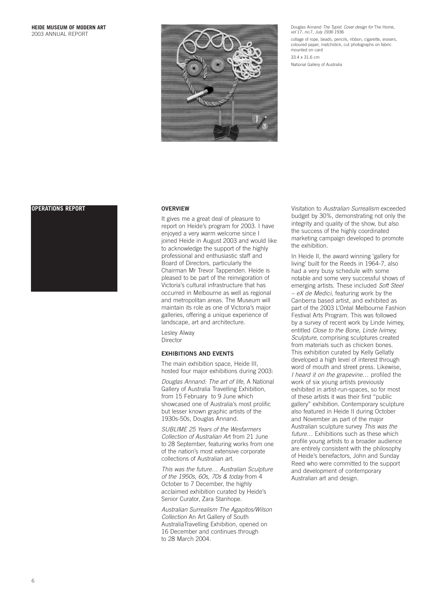

Douglas Annand *The Typist. Cover design for* The Home, *vol* 17, *no*.7, *July 1936* 1936

collage of rope, beads, pencils, ribbon, cigarette, erasers, coloured paper, matchstick, cut photographs on fabric mounted on card

33.4 x 31.6 cm National Gallery of Australia

# **OPERATIONS REPORT OVERVIEW**



It gives me a great deal of pleasure to report on Heide's program for 2003. I have enjoyed a very warm welcome since I joined Heide in August 2003 and would like to acknowledge the support of the highly professional and enthusiastic staff and Board of Directors, particularly the Chairman Mr Trevor Tappenden. Heide is pleased to be part of the reinvigoration of Victoria's cultural infrastructure that has occurred in Melbourne as well as regional and metropolitan areas. The Museum will maintain its role as one of Victoria's major galleries, offering a unique experience of landscape, art and architecture.

Lesley Alway Director

# **EXHIBITIONS AND EVENTS**

The main exhibition space, Heide III, hosted four major exhibitions during 2003:

*Douglas Annand: The art of life,* A National Gallery of Australia Travelling Exhibition, from 15 February to 9 June which showcased one of Australia's most prolific but lesser known graphic artists of the 1930s-50s, Douglas Annand.

*SUBLIME 25 Years of the Wesfarmers Collection of Australian Ar*t from 21 June to 28 September, featuring works from one of the nation's most extensive corporate collections of Australian art.

*This was the future… Australian Sculpture of the 1950s, 60s, 70s & today* from 4 October to 7 December, the highly acclaimed exhibition curated by Heide's Senior Curator, Zara Stanhope.

*Australian Surrealism The Agapitos/Wilson Collection* An Art Gallery of South AustraliaTravelling Exhibition, opened on 16 December and continues through to 28 March 2004.

Visitation to *Australian Surrealism* exceeded budget by 30%, demonstrating not only the integrity and quality of the show, but also the success of the highly coordinated marketing campaign developed to promote the exhibition.

In Heide II, the award winning 'gallery for living' built for the Reeds in 1964-7, also had a very busy schedule with some notable and some very successful shows of emerging artists. These included *Soft Steel – eX de Medici*, featuring work by the Canberra based artist, and exhibited as part of the 2003 L'Oréal Melbourne Fashion Festival Arts Program. This was followed by a survey of recent work by Linde Ivimey, entitled *Close to the Bone, Linde Ivimey, Sculpture*, comprising sculptures created from materials such as chicken bones. This exhibition curated by Kelly Gellatly developed a high level of interest through word of mouth and street press. Likewise, *I heard it on the grapevine…* profiled the work of six young artists previously exhibited in artist-run-spaces, so for most of these artists it was their first "public gallery" exhibition. Contemporary sculpture also featured in Heide II during October and November as part of the major Australian sculpture survey *This was the future…* Exhibitions such as these which profile young artists to a broader audience are entirely consistent with the philosophy of Heide's benefactors, John and Sunday Reed who were committed to the support and development of contemporary Australian art and design.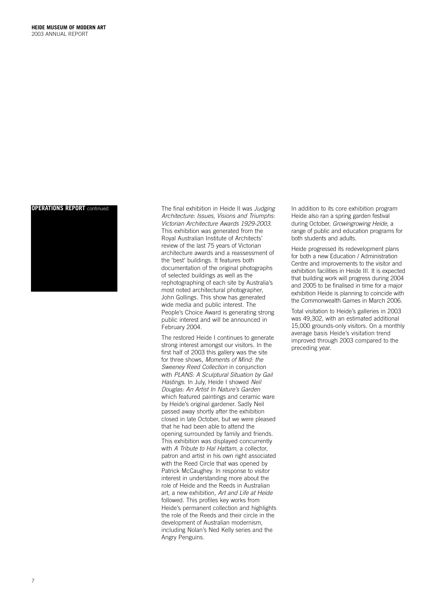# **OPERATIONS REPORT** continued



The final exhibition in Heide II was Judging Architecture: Issues, Visions and Triumphs: Victorian Architecture Awards 1929-2003. This exhibition was generated from the Royal Australian Institute of Architects' review of the last 75 years of Victorian architecture awards and a reassessment of the 'best' buildings. It features both documentation of the original photographs of selected buildings as well as the rephotographing of each site by Australia's most noted architectural photographer, John Gollings. This show has generated wide media and public interest. The People's Choice Award is generating strong public interest and will be announced in February 2004.

The restored Heide I continues to generate strong interest amongst our visitors. In the first half of 2003 this gallery was the site for three shows, Moments of Mind: the Sweeney Reed Collection in conjunction with PLANS: A Sculptural Situation by Gail Hastings. In July, Heide I showed Neil Douglas: An Artist In Nature's Garden which featured paintings and ceramic ware by Heide's original gardener. Sadly Neil passed away shortly after the exhibition closed in late October, but we were pleased that he had been able to attend the opening surrounded by family and friends. This exhibition was displayed concurrently with A Tribute to Hal Hattam, a collector, patron and artist in his own right associated with the Reed Circle that was opened by Patrick McCaughey. In response to visitor interest in understanding more about the role of Heide and the Reeds in Australian art, a new exhibition, Art and Life at Heide followed. This profiles key works from Heide's permanent collection and highlights the role of the Reeds and their circle in the development of Australian modernism, including Nolan's Ned Kelly series and the Angry Penguins.

In addition to its core exhibition program Heide also ran a spring garden festival during October, Growingrowing Heide, a range of public and education programs for both students and adults.

Heide progressed its redevelopment plans for both a new Education / Administration Centre and improvements to the visitor and exhibition facilities in Heide III. It is expected that building work will progress during 2004 and 2005 to be finalised in time for a major exhibition Heide is planning to coincide with the Commonwealth Games in March 2006.

Total visitation to Heide's galleries in 2003 was 49,302, with an estimated additional 15,000 grounds-only visitors. On a monthly average basis Heide's visitation trend improved through 2003 compared to the preceding year.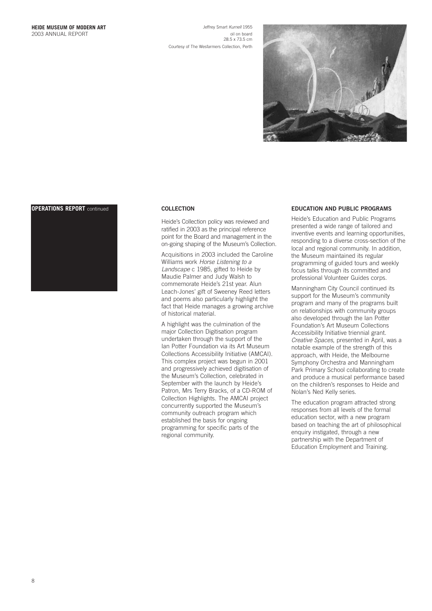Jeffrey Smart *Kurnell* 1955 oil on board 28.5 x 73.5 cm Courtesy of The Wesfarmers Collection, Perth



# **OPERATIONS REPORT** continued **COLLECTION**



Heide's Collection policy was reviewed and ratified in 2003 as the principal reference point for the Board and management in the on-going shaping of the Museum's Collection.

Acquisitions in 2003 included the Caroline Williams work *Horse Listening to a Landscape* c 1985, gifted to Heide by Maudie Palmer and Judy Walsh to commemorate Heide's 21st year. Alun Leach-Jones' gift of Sweeney Reed letters and poems also particularly highlight the fact that Heide manages a growing archive of historical material.

A highlight was the culmination of the major Collection Digitisation program undertaken through the support of the Ian Potter Foundation via its Art Museum Collections Accessibility Initiative (AMCAI). This complex project was begun in 2001 and progressively achieved digitisation of the Museum's Collection, celebrated in September with the launch by Heide's Patron, Mrs Terry Bracks, of a CD-ROM of Collection Highlights. The AMCAI project concurrently supported the Museum's community outreach program which established the basis for ongoing programming for specific parts of the regional community.

# **EDUCATION AND PUBLIC PROGRAMS**

Heide's Education and Public Programs presented a wide range of tailored and inventive events and learning opportunities, responding to a diverse cross-section of the local and regional community. In addition, the Museum maintained its regular programming of guided tours and weekly focus talks through its committed and professional Volunteer Guides corps.

Manningham City Council continued its support for the Museum's community program and many of the programs built on relationships with community groups also developed through the Ian Potter Foundation's Art Museum Collections Accessibility Initiative triennial grant. *Creative Spaces*, presented in April, was a notable example of the strength of this approach, with Heide, the Melbourne Symphony Orchestra and Manningham Park Primary School collaborating to create and produce a musical performance based on the children's responses to Heide and Nolan's Ned Kelly series.

The education program attracted strong responses from all levels of the formal education sector, with a new program based on teaching the art of philosophical enquiry instigated, through a new partnership with the Department of Education Employment and Training.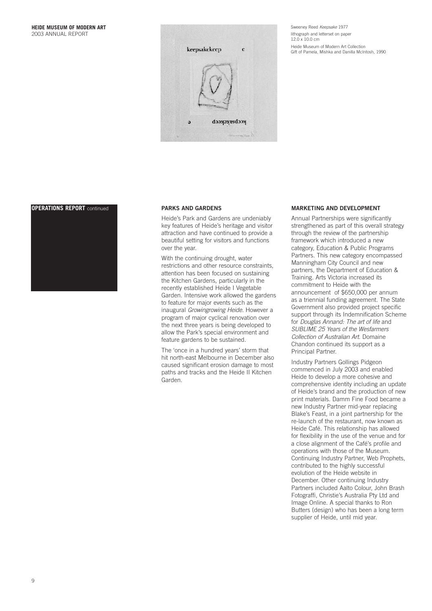

Sweeney Reed *Keepsake* 1977 lithograph and letterset on paper 12.0 x 10.0 cm Heide Museum of Modern Art Collection Gift of Pamela, Mishka and Danilla McIntosh, 1990

# **OPERATIONS REPORT** continued **PARKS AND GARDENS**



Heide's Park and Gardens are undeniably key features of Heide's heritage and visitor attraction and have continued to provide a beautiful setting for visitors and functions over the year.

With the continuing drought, water restrictions and other resource constraints, attention has been focused on sustaining the Kitchen Gardens, particularly in the recently established Heide I Vegetable Garden. Intensive work allowed the gardens to feature for major events such as the inaugural *Growingrowing Heide.* However a program of major cyclical renovation over the next three years is being developed to allow the Park's special environment and feature gardens to be sustained.

The 'once in a hundred years' storm that hit north-east Melbourne in December also caused significant erosion damage to most paths and tracks and the Heide II Kitchen .<br>Garden

# **MARKETING AND DEVELOPMENT**

Annual Partnerships were significantly strengthened as part of this overall strategy through the review of the partnership framework which introduced a new category, Education & Public Programs Partners. This new category encompassed Manningham City Council and new partners, the Department of Education & Training. Arts Victoria increased its commitment to Heide with the announcement of \$650,000 per annum as a triennial funding agreement. The State Government also provided project specific support through its Indemnification Scheme for *Douglas Annand: The art of life* and *SUBLIME 25 Years of the Wesfarmers Collection of Australian Art*. Domaine Chandon continued its support as a Principal Partner.

Industry Partners Gollings Pidgeon commenced in July 2003 and enabled Heide to develop a more cohesive and comprehensive identity including an update of Heide's brand and the production of new print materials. Damm Fine Food became a new Industry Partner mid-year replacing Blake's Feast, in a joint partnership for the re-launch of the restaurant, now known as Heide Café. This relationship has allowed for flexibility in the use of the venue and for a close alignment of the Café's profile and operations with those of the Museum. Continuing Industry Partner, Web Prophets, contributed to the highly successful evolution of the Heide website in December. Other continuing Industry Partners included Aalto Colour, John Brash Fotograffi, Christie's Australia Pty Ltd and Image Online. A special thanks to Ron Butters (design) who has been a long term supplier of Heide, until mid year.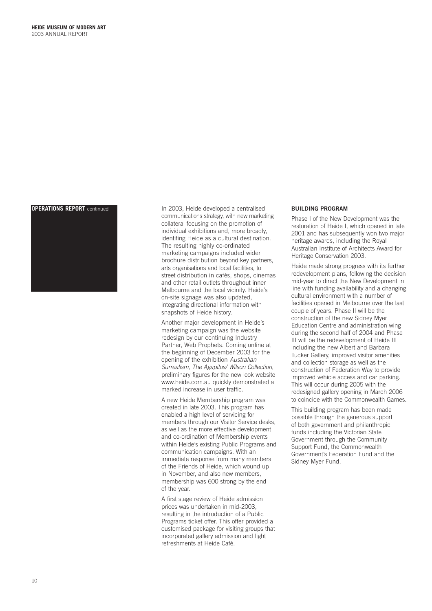

**OPERATIONS REPORT** continued In 2003, Heide developed a centralised communications strategy, with new marketing collateral focusing on the promotion of individual exhibitions and, more broadly, identifing Heide as a cultural destination. The resulting highly co-ordinated marketing campaigns included wider brochure distribution beyond key partners, arts organisations and local facilities, to street distribution in cafés, shops, cinemas and other retail outlets throughout inner Melbourne and the local vicinity. Heide's on-site signage was also updated, integrating directional information with snapshots of Heide history.

> Another major development in Heide's marketing campaign was the website redesign by our continuing Industry Partner, Web Prophets. Coming online at the beginning of December 2003 for the opening of the exhibition *Australian Surrealism, The Agapitos/ Wilson Collection*, preliminary figures for the new look website www.heide.com.au quickly demonstrated a marked increase in user traffic.

A new Heide Membership program was created in late 2003. This program has enabled a high level of servicing for members through our Visitor Service desks, as well as the more effective development and co-ordination of Membership events within Heide's existing Public Programs and communication campaigns. With an immediate response from many members of the Friends of Heide, which wound up in November, and also new members, membership was 600 strong by the end of the year.

A first stage review of Heide admission prices was undertaken in mid-2003, resulting in the introduction of a Public Programs ticket offer. This offer provided a customised package for visiting groups that incorporated gallery admission and light refreshments at Heide Café.

# **BUILDING PROGRAM**

Phase I of the New Development was the restoration of Heide I, which opened in late 2001 and has subsequently won two major heritage awards, including the Royal Australian Institute of Architects Award for Heritage Conservation 2003.

Heide made strong progress with its further redevelopment plans, following the decision mid-year to direct the New Development in line with funding availability and a changing cultural environment with a number of facilities opened in Melbourne over the last couple of years. Phase II will be the construction of the new Sidney Myer Education Centre and administration wing during the second half of 2004 and Phase III will be the redevelopment of Heide III including the new Albert and Barbara Tucker Gallery, improved visitor amenities and collection storage as well as the construction of Federation Way to provide improved vehicle access and car parking. This will occur during 2005 with the redesigned gallery opening in March 2006 to coincide with the Commonwealth Games.

This building program has been made possible through the generous support of both government and philanthropic funds including the Victorian State Government through the Community Support Fund, the Commonwealth Government's Federation Fund and the Sidney Myer Fund.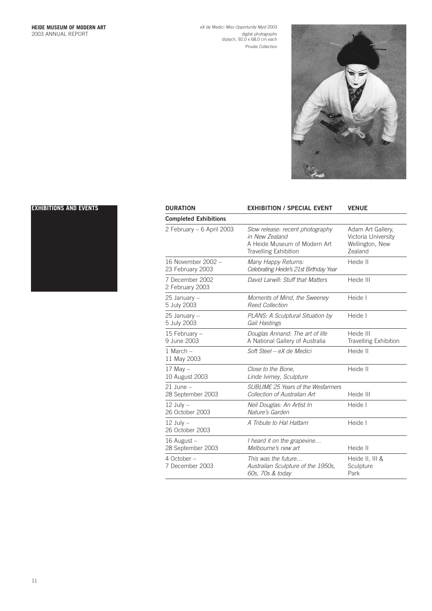eX de Medici *Miss Opportunity Myst* 2003 digital photographs diptych, 92.0 x 68.0 cm each Private Collection



# **EXHIBITIONS AND EVENTS**



| <b>DURATION</b>                        | <b>EXHIBITION / SPECIAL EVENT</b>                                                                                  | <b>VENUE</b>                                                           |
|----------------------------------------|--------------------------------------------------------------------------------------------------------------------|------------------------------------------------------------------------|
| <b>Completed Exhibitions</b>           |                                                                                                                    |                                                                        |
| 2 February - 6 April 2003              | Slow release: recent photography<br>in New Zealand<br>A Heide Museum of Modern Art<br><b>Travelling Exhibition</b> | Adam Art Gallery,<br>Victoria University<br>Wellington, New<br>Zealand |
| 16 November 2002 -<br>23 February 2003 | Many Happy Returns:<br>Celebrating Heide's 21st Birthday Year                                                      | Heide II                                                               |
| 7 December 2002<br>2 February 2003     | David Larwill: Stuff that Matters                                                                                  | Heide III                                                              |
| 25 January -<br>5 July 2003            | Moments of Mind, the Sweeney<br><b>Reed Collection</b>                                                             | Heide I                                                                |
| 25 January -<br>5 July 2003            | PLANS: A Sculptural Situation by<br>Gail Hastings                                                                  | Heide I                                                                |
| 15 February -<br>9 June 2003           | Douglas Annand: The art of life<br>A National Gallery of Australia                                                 | Heide III<br><b>Travelling Exhibition</b>                              |
| $1$ March $-$<br>11 May 2003           | Soft Steel – eX de Medici                                                                                          | Heide II                                                               |
| $17$ May $-$<br>10 August 2003         | Close to the Bone,<br>Linde Ivimey, Sculpture                                                                      | Heide II                                                               |
| $21$ June $-$<br>28 September 2003     | SUBLIME 25 Years of the Wesfarmers<br>Collection of Australian Art                                                 | Heide III                                                              |
| $12$ July $-$<br>26 October 2003       | Neil Douglas: An Artist In<br>Nature's Garden                                                                      | Heide I                                                                |
| $12$ July $-$<br>26 October 2003       | A Tribute to Hal Hattam                                                                                            | Heide I                                                                |
| 16 August -<br>28 September 2003       | I heard it on the grapevine<br>Melbourne's new art                                                                 | Heide II                                                               |
| 4 October -<br>7 December 2003         | This was the future<br>Australian Sculpture of the 1950s,<br>60s, 70s & today                                      | Heide II, III &<br>Sculpture<br>Park                                   |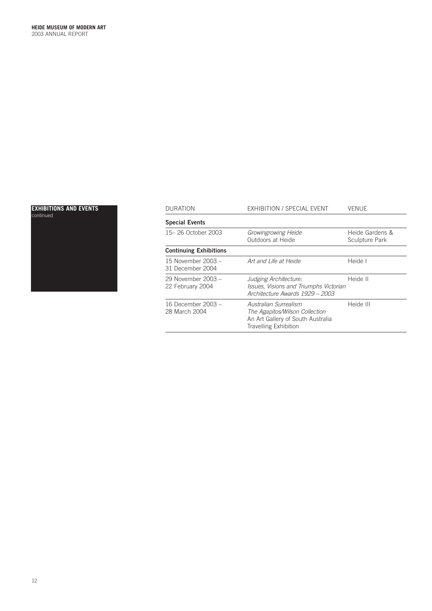# continued



| EXHIBITIONS AND EVENTS | <b>DURATION</b>                        | EXHIBITION / SPECIAL EVENT                                                                                            | <b>VENUE</b>                      |
|------------------------|----------------------------------------|-----------------------------------------------------------------------------------------------------------------------|-----------------------------------|
| continued              | <b>Special Events</b>                  |                                                                                                                       |                                   |
|                        | 15-26 October 2003                     | Growingrowing Heide<br>Outdoors at Heide                                                                              | Heide Gardens &<br>Sculpture Park |
|                        | <b>Continuing Exhibitions</b>          |                                                                                                                       |                                   |
|                        | 15 November 2003 -<br>31 December 2004 | Art and Life at Heide                                                                                                 | Heide I                           |
|                        | 29 November 2003 -<br>22 February 2004 | Judging Architecture:<br>Issues, Visions and Triumphs Victorian<br>Architecture Awards 1929 - 2003                    | Heide II                          |
|                        | 16 December 2003 -<br>28 March 2004    | Australian Surrealism<br>The Agapitos/Wilson Collection<br>An Art Gallery of South Australia<br>Travelling Exhibition | Heide III                         |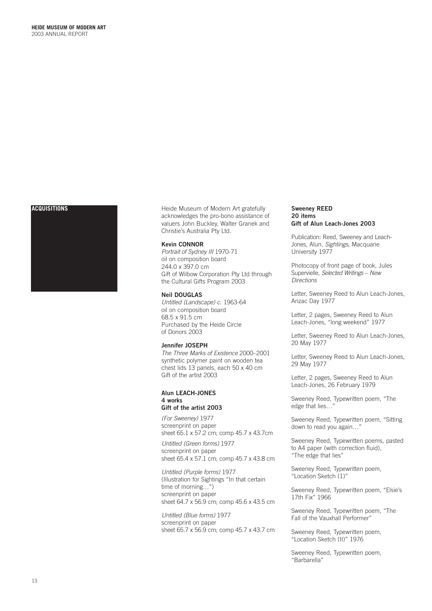

**ACQUISITIONS ACQUISITIONS Heide Museum of Modern Art gratefully** acknowledges the pro-bono assistance of valuers John Buckley, Walter Granek and Christie's Australia Pty Ltd.

# **Kevin CONNOR**

*Portrait of Sydney III* 1970-71 oil on composition board 244.0 x 397.0 cm Gift of Wilbow Corporation Pty Ltd through the Cultural Gifts Program 2003

# **Neil DOUGLAS**

*Untitled (Landscape) c*. 1963-64 oil on composition board 68.5 x 91.5 cm Purchased by the Heide Circle of Donors 2003

# **Jennifer JOSEPH**

*The Three Marks of Existence* 2000–2001 synthetic polymer paint on wooden tea chest lids 13 panels, each 50 x 40 cm Gift of the artist 2003

## **Alun LEACH-JONES 4 works Gift of the artist 2003**

*(For Sweeney)* 1977 screenprint on paper sheet 65.1 x 57.2 cm; comp 45.7 x 43.7cm

*Untitled (Green forms)* 1977 screenprint on paper sheet 65.4 x 57.1 cm; comp 45.7 x 43.8 cm

*Untitled (Purple forms)* 1977 (Illustration for Sightings "In that certain time of morning…") screenprint on paper sheet 64.7 x 56.9 cm; comp 45.6 x 43.5 cm

*Untitled (Blue forms)* 1977 screenprint on paper sheet 65.7 x 56.9 cm; comp 45.7 x 43.7 cm

# **Sweeney REED 20 items Gift of Alun Leach-Jones 2003**

Publication: Reed, Sweeney and Leach-Jones, Alun, *Sightings*, Macquarie University 1977

Photocopy of front page of book, Jules Supervielle, *Selected Writings* – *New Directions*

Letter, Sweeney Reed to Alun Leach-Jones, Anzac Day 1977

Letter, 2 pages, Sweeney Reed to Alun Leach-Jones, "long weekend" 1977

Letter, Sweeney Reed to Alun Leach-Jones, 20 May 1977

Letter, Sweeney Reed to Alun Leach-Jones, 29 May 1977

Letter, 2 pages, Sweeney Reed to Alun Leach-Jones, 26 February 1979

Sweeney Reed, Typewritten poem, "The edge that lies...

Sweeney Reed, Typewritten poem, "Sitting down to read you again…"

Sweeney Reed, Typewritten poems, pasted to A4 paper (with correction fluid), "The edge that lies"

Sweeney Reed, Typewritten poem, "Location Sketch (1)"

Sweeney Reed, Typewritten poem, "Elsie's 17th Fix" 1966

Sweeney Reed, Typewritten poem, "The Fall of the Vauxhall Performer"

Sweeney Reed, Typewritten poem, "Location Sketch (II)" 1976

Sweeney Reed, Typewritten poem, "Barbarella"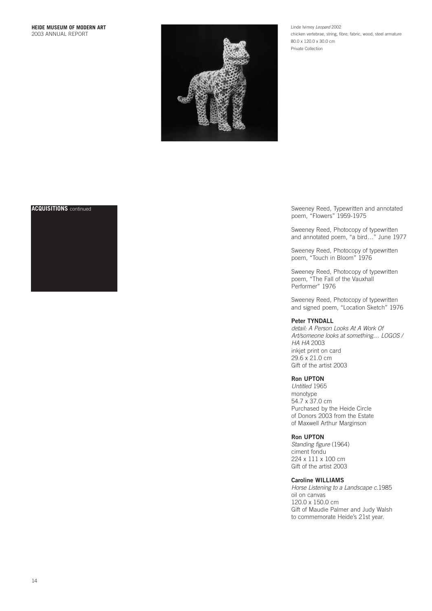

Linde Ivimey *Leopard* 2002 chicken vertebrae, string, fibre, fabric, wood, steel armature 80.0 x 120.0 x 30.0 cm Private Collection



**ACQUISITIONS** continued **ACQUISITIONS** continued Sweeney Reed, Typewritten and annotated poem, "Flowers" 1959-1975

> Sweeney Reed, Photocopy of typewritten and annotated poem, "a bird…" June 1977

Sweeney Reed, Photocopy of typewritten poem, "Touch in Bloom" 1976

Sweeney Reed, Photocopy of typewritten poem, "The Fall of the Vauxhall Performer" 1976

Sweeney Reed, Photocopy of typewritten and signed poem, "Location Sketch" 1976

# **Peter TYNDALL**

*detail: A Person Looks At A Work Of Art/someone looks at something… LOGOS / HA HA* 2003 inkjet print on card 29.6 x 21.0 cm Gift of the artist 2003

# **Ron UPTON**

*Untitled* 1965 monotype 54.7 x 37.0 cm Purchased by the Heide Circle of Donors 2003 from the Estate of Maxwell Arthur Marginson

# **Ron UPTON**

*Standing figure* (1964) ciment fondu 224 x 111 x 100 cm Gift of the artist 2003

# **Caroline WILLIAMS**

*Horse Listening to a Landscape c.*1985 oil on canvas 120.0 x 150.0 cm Gift of Maudie Palmer and Judy Walsh to commemorate Heide's 21st year.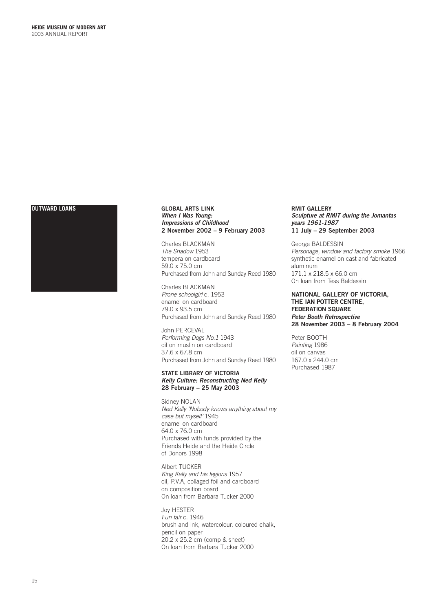

# **OUTWARD LOANS GLOBAL ARTS LINK** *When I Was Young: Impressions of Childhood* **2 November 2002 – 9 February 2003**

Charles BLACKMAN *The Shadow* 1953 tempera on cardboard 59.0 x 75.0 cm Purchased from John and Sunday Reed 1980

Charles BLACKMAN *Prone schoolgirl* c. 1953 enamel on cardboard 79.0 x 93.5 cm Purchased from John and Sunday Reed 1980

John PERCEVAL *Performing Dogs No.1* 1943 oil on muslin on cardboard 37.6 x 67.8 cm Purchased from John and Sunday Reed 1980

# **STATE LIBRARY OF VICTORIA** *Kelly Culture: Reconstructing Ned Kelly* **28 February – 25 May 2003**

Sidney NOLAN *Ned Kelly 'Nobody knows anything about my case but myself'* 1945 enamel on cardboard 64.0 x 76.0 cm Purchased with funds provided by the Friends Heide and the Heide Circle of Donors 1998

Albert TUCKER *King Kelly and his legions* 1957 oil, P.V.A, collaged foil and cardboard on composition board On loan from Barbara Tucker 2000

Joy HESTER *Fun fair* c. 1946 brush and ink, watercolour, coloured chalk, pencil on paper 20.2 x 25.2 cm (comp & sheet) On loan from Barbara Tucker 2000

# **RMIT GALLERY** *Sculpture at RMIT during the Jomantas years 1961-1987* **11 July – 29 September 2003**

George BALDESSIN *Personage, window and factory smoke* 1966 synthetic enamel on cast and fabricated aluminum 171.1 x 218.5 x 66.0 cm On loan from Tess Baldessin

**NATIONAL GALLERY OF VICTORIA, THE IAN POTTER CENTRE, FEDERATION SQUARE** *Peter Booth Retrospective* **28 November 2003 – 8 February 2004**

Peter BOOTH *Painting* 1986 oil on canvas 167.0 x 244.0 cm Purchased 1987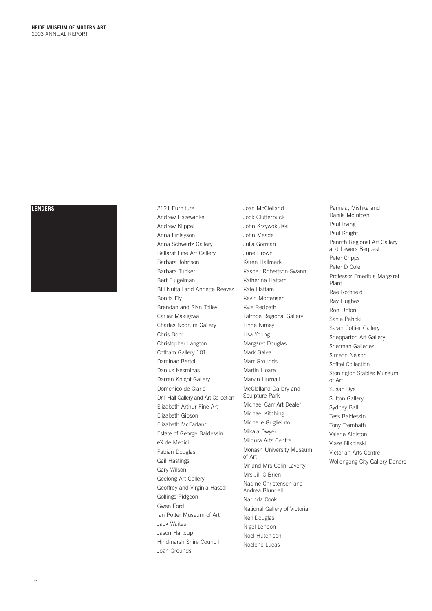# **LENDERS**



2121 Furniture Andrew Hazewinkel Andrew Klippel Anna Finlayson Anna Schwartz Gallery Ballarat Fine Art Gallery Barbara Johnson Barbara Tucker Bert Flugelman Bill Nuttall and Annette Reeves Bonita Ely Brendan and Sian Tolley Carlier Makigawa Charles Nodrum Gallery Chris Bond Christopher Langton Cotham Gallery 101 Daminao Bertoli Danius Kesminas Darren Knight Gallery Domenico de Clario Drill Hall Gallery and Art Collection Elizabeth Arthur Fine Art Elizabeth Gibson Elizabeth McFarland Estate of George Baldessin eX de Medici Fabian Douglas Gail Hastings Gary Wilson Geelong Art Gallery Geoffrey and Virginia Hassall Gollings Pidgeon Gwen Ford Ian Potter Museum of Art Jack Waites Jason Hartcup Hindmarsh Shire Council Joan Grounds

Joan McClelland Jock Clutterbuck John Krzywokulski John Meade Julia Gorman June Brown Karen Hallmark Kashell Robertson-Swann Katherine Hattam Kate Hattam Kevin Mortensen Kyle Redpath Latrobe Regional Gallery Linde Ivimey Lisa Young Margaret Douglas Mark Galea Marr Grounds Martin Hoare Marvin Hurnall McClelland Gallery and Sculpture Park Michael Carr Art Dealer Michael Kitching Michelle Guglielmo Mikala Dwyer Mildura Arts Centre Monash University Museum of Art Mr and Mrs Colin Laverty Mrs Jill O'Brien Nadine Christensen and Andrea Blundell Narinda Cook National Gallery of Victoria Neil Douglas Nigel Lendon Noel Hutchison Noelene Lucas

Pamela, Mishka and Danila McIntosh Paul Irving Paul Knight Penrith Regional Art Gallery and Lewers Bequest Peter Cripps Peter D Cole Professor Emeritus Margaret Plant Rae Rothfield Ray Hughes Ron Upton Sanja Pahoki Sarah Cottier Gallery Shepparton Art Gallery Sherman Galleries Simeon Nelson Sofitel Collection Stonington Stables Museum of Art Susan Dye Sutton Gallery Sydney Ball Tess Baldessin Tony Trembath Valerie Albiston Vlase Nikoleski Victorian Arts Centre Wollongong City Gallery Donors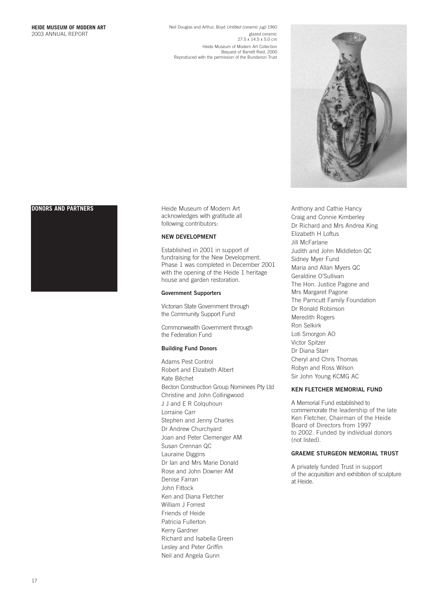Neil Douglas and Arthur, Boyd *Untitled (ceramic jug)* 1960 glazed ceramic<br>27.5 x 14.5 x 5.0 cm Heide Museum of Modern Art Collection Bequest of Barrett Reid, 2000 Reproduced with the permission of the Bundanon Trust





**DONORS AND PARTNERS Heide Museum of Modern Art** acknowledges with gratitude all following contributors:

# **NEW DEVELOPMENT**

Established in 2001 in support of fundraising for the New Development. Phase 1 was completed in December 2001 with the opening of the Heide 1 heritage house and garden restoration.

# **Government Supporters**

Victorian State Government through the Community Support Fund

Commonwealth Government through the Federation Fund

# **Building Fund Donors**

Adams Pest Control Robert and Elizabeth Albert Kate Bêchet Becton Construction Group Nominees Pty Ltd Christine and John Collingwood J J and E R Colquhoun Lorraine Carr Stephen and Jenny Charles Dr Andrew Churchyard Joan and Peter Clemenger AM Susan Crennan QC Lauraine Diggins Dr Ian and Mrs Marie Donald Rose and John Downer AM Denise Farran John Fittock Ken and Diana Fletcher William J Forrest Friends of Heide Patricia Fullerton Kerry Gardner Richard and Isabella Green Lesley and Peter Griffin Neil and Angela Gunn

Anthony and Cathie Hancy Craig and Connie Kimberley Dr Richard and Mrs Andrea King Elizabeth H Loftus Jill McFarlane Judith and John Middleton QC Sidney Myer Fund Maria and Allan Myers QC Geraldine O'Sullivan The Hon. Justice Pagone and Mrs Margaret Pagone The Parncutt Family Foundation Dr Ronald Robinson Meredith Rogers Ron Selkirk Loti Smorgon AO Victor Spitzer Dr Diana Starr Cheryl and Chris Thomas Robyn and Ross Wilson Sir John Young KCMG AC

# **KEN FLETCHER MEMORIAL FUND**

A Memorial Fund established to commemorate the leadership of the late Ken Fletcher, Chairman of the Heide Board of Directors from 1997 to 2002. Funded by individual donors (not listed).

# **GRAEME STURGEON MEMORIAL TRUST**

A privately funded Trust in support of the acquisition and exhibition of sculpture at Heide.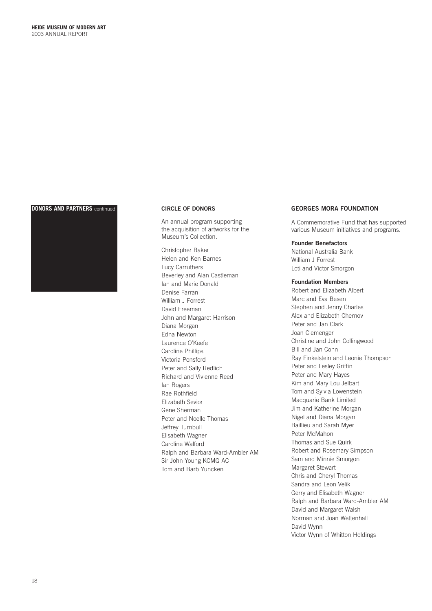# **DONORS AND PARTNERS** continued **CIRCLE OF DONORS**



An annual program supporting the acquisition of artworks for the Museum's Collection.

Christopher Baker Helen and Ken Barnes Lucy Carruthers Beverley and Alan Castleman Ian and Marie Donald Denise Farran William J Forrest David Freeman John and Margaret Harrison Diana Morgan Edna Newton Laurence O'Keefe Caroline Phillips Victoria Ponsford Peter and Sally Redlich Richard and Vivienne Reed Ian Rogers Rae Rothfield Elizabeth Sevior Gene Sherman Peter and Noelle Thomas Jeffrey Turnbull Elisabeth Wagner Caroline Walford Ralph and Barbara Ward-Ambler AM Sir John Young KCMG AC Tom and Barb Yuncken

# **GEORGES MORA FOUNDATION**

A Commemorative Fund that has supported various Museum initiatives and programs.

# **Founder Benefactors**

National Australia Bank William J Forrest Loti and Victor Smorgon

# **Foundation Members**

Robert and Elizabeth Albert Marc and Eva Besen Stephen and Jenny Charles Alex and Elizabeth Chernov Peter and Jan Clark Joan Clemenger Christine and John Collingwood Bill and Jan Conn Ray Finkelstein and Leonie Thompson Peter and Lesley Griffin Peter and Mary Hayes Kim and Mary Lou Jelbart Tom and Sylvia Lowenstein Macquarie Bank Limited Jim and Katherine Morgan Nigel and Diana Morgan Baillieu and Sarah Myer Peter McMahon Thomas and Sue Quirk Robert and Rosemary Simpson Sam and Minnie Smorgon Margaret Stewart Chris and Cheryl Thomas Sandra and Leon Velik Gerry and Elisabeth Wagner Ralph and Barbara Ward-Ambler AM David and Margaret Walsh Norman and Joan Wettenhall David Wynn Victor Wynn of Whitton Holdings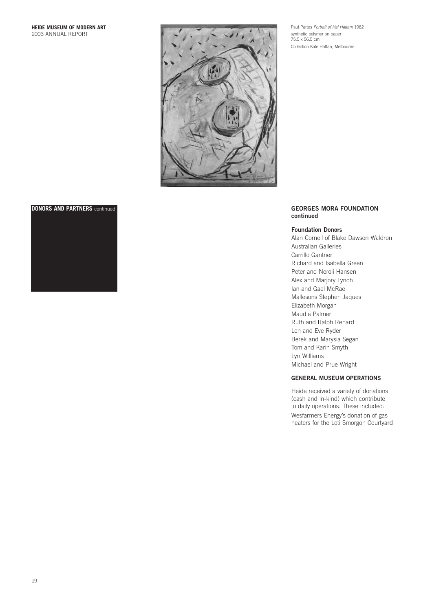

# Paul Partos *Portrait of Hal Hattam* 1982 synthetic polymer on paper 75.5 x 56.5 cm Collection Kate Hattan, Melbourne



# **DONORS AND PARTNERS** continued **GEORGES MORA FOUNDATION continued**

## **Foundation Donors**

Alan Cornell of Blake Dawson Waldron Australian Galleries Carrillo Gantner Richard and Isabella Green Peter and Neroli Hansen Alex and Marjory Lynch Ian and Gael McRae Mallesons Stephen Jaques Elizabeth Morgan Maudie Palmer Ruth and Ralph Renard Len and Eve Ryder Berek and Marysia Segan Tom and Karin Smyth Lyn Williams Michael and Prue Wright

# **GENERAL MUSEUM OPERATIONS**

Heide received a variety of donations (cash and in-kind) which contribute to daily operations. These included:

Wesfarmers Energy's donation of gas heaters for the Loti Smorgon Courtyard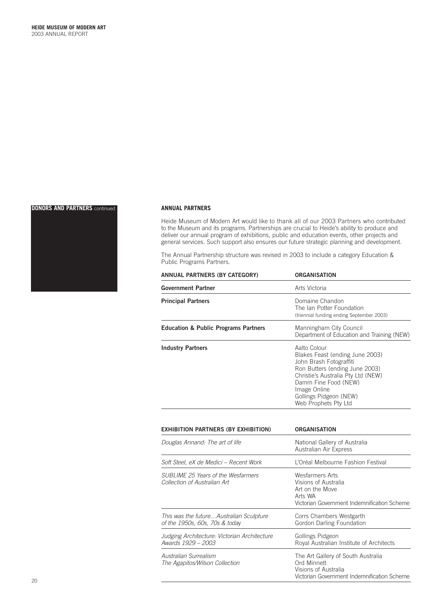# **DONORS AND PARTNERS** continued



## **ANNUAL PARTNERS**

Heide Museum of Modern Art would like to thank all of our 2003 Partners who contributed to the Museum and its programs. Partnerships are crucial to Heide's ability to produce and deliver our annual program of exhibitions, public and education events, other projects and general services. Such support also ensures our future strategic planning and development.

The Annual Partnership structure was revised in 2003 to include a category Education & Public Programs Partners.

| ANNUAL PARTNERS (BY CATEGORY)                                             | <b>ORGANISATION</b>                                                                                                                                                                                                                          |
|---------------------------------------------------------------------------|----------------------------------------------------------------------------------------------------------------------------------------------------------------------------------------------------------------------------------------------|
| <b>Government Partner</b>                                                 | Arts Victoria                                                                                                                                                                                                                                |
| <b>Principal Partners</b>                                                 | Domaine Chandon<br>The Ian Potter Foundation<br>(triennial funding ending September 2003)                                                                                                                                                    |
| <b>Education &amp; Public Programs Partners</b>                           | Manningham City Council<br>Department of Education and Training (NEW)                                                                                                                                                                        |
| <b>Industry Partners</b>                                                  | Aalto Colour<br>Blakes Feast (ending June 2003)<br>John Brash Fotograffiti<br>Ron Butters (ending June 2003)<br>Christie's Australia Pty Ltd (NEW)<br>Damm Fine Food (NEW)<br>Image Online<br>Gollings Pidgeon (NEW)<br>Web Prophets Pty Ltd |
| <b>EXHIBITION PARTNERS (BY EXHIBITION)</b>                                | <b>ORGANISATION</b>                                                                                                                                                                                                                          |
| Douglas Annand: The art of life                                           | National Gallery of Australia<br>Australian Air Express                                                                                                                                                                                      |
| Soft Steel, eX de Medici - Recent Work                                    | L'Oréal Melbourne Fashion Festival                                                                                                                                                                                                           |
| SUBLIME 25 Years of the Wesfarmers<br>Collection of Australian Art        | <b>Wesfarmers Arts</b><br>Visions of Australia<br>Art on the Move<br>Arts WA<br>Victorian Government Indemnification Scheme                                                                                                                  |
| This was the futureAustralian Sculpture<br>of the 1950s, 60s, 70s & today | Corrs Chambers Westgarth<br>Gordon Darling Foundation                                                                                                                                                                                        |
| Judging Architecture: Victorian Architecture<br>Awards 1929 - 2003        | Gollings Pidgeon<br>Royal Australian Institute of Architects                                                                                                                                                                                 |
| Australian Surrealism<br>The Agapitos/Wilson Collection                   | The Art Gallery of South Australia<br>Ord Minnett<br>Visions of Australia<br>Victorian Government Indemnification Scheme                                                                                                                     |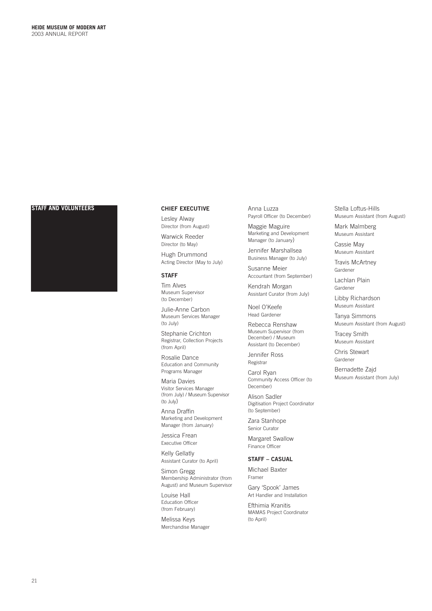# **STAFF AND VOLUNTEERS CHIEF EXECUTIVE**



Lesley Alway Director (from August)

Warwick Reeder Director (to May)

Hugh Drummond Acting Director (May to July)

# **STAFF**

Tim Alves Museum Supervisor (to December)

Julie-Anne Carbon Museum Services Manager (to July)

Stephanie Crichton Registrar, Collection Projects (from April)

Rosalie Dance Education and Community Programs Manager

Maria Davies Visitor Services Manager (from July) / Museum Supervisor (to July)

Anna Draffin Marketing and Development Manager (from January)

Jessica Frean Executive Officer

Kelly Gellatly Assistant Curator (to April)

Simon Gregg Membership Administrator (from August) and Museum Supervisor

Louise Hall Education Officer (from February)

Melissa Keys Merchandise Manager Anna Luzza Payroll Officer (to December)

Maggie Maguire Marketing and Development Manager (to January)

Jennifer Marshallsea Business Manager (to July)

Susanne Meier Accountant (from September)

Kendrah Morgan Assistant Curator (from July)

Noel O'Keefe Head Gardener

Rebecca Renshaw Museum Supervisor (from December) / Museum Assistant (to December)

Jennifer Ross Registrar

Carol Ryan Community Access Officer (to December)

Alison Sadler Digitisation Project Coordinator (to September)

Zara Stanhope Senior Curator

Margaret Swallow Finance Officer

# **STAFF – CASUAL**

Michael Baxter Framer

Gary 'Spook' James Art Handler and Installation

Efthimia Kranitis MAMAS Project Coordinator (to April)

Stella Loftus-Hills Museum Assistant (from August)

Mark Malmberg Museum Assistant

Cassie May Museum Assistant

Travis McArtney Gardener

Lachlan Plain Gardener

Libby Richardson Museum Assistant

Tanya Simmons Museum Assistant (from August)

Tracey Smith Museum Assistant

Chris Stewart Gardener

Bernadette Zajd Museum Assistant (from July)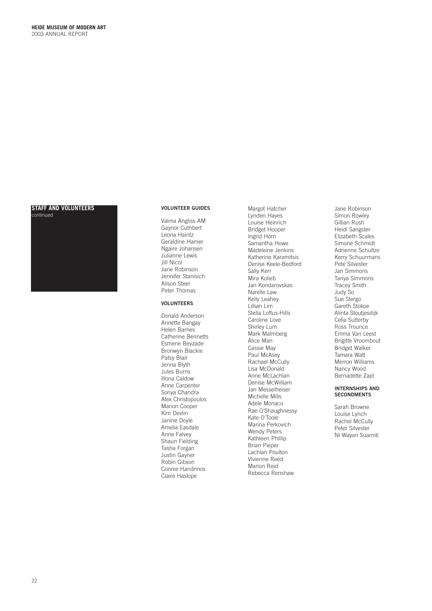# **STAFF AND VOLUNTEERS**  continued



# **VOLUNTEER GUIDES**

Valma Angliss AM Gaynor Cuthbert Leona Haintz Geraldine Hamer Ngaire Johansen Julianne Lewis Jill Nicol Jane Robinson Jennifer Stanisich Alison Steel Peter Thomas

## **VOLUNTEERS**

Donald Anderson Annette Bangay Helen Barnes Catherine Bennetts Esmene Beyzade Bronwyn Blackie Patsy Blair Jenna Blyth Jules Burns Illona Caldow Anne Carpenter Sonya Chandra Alex Christopoulos Marion Cooper Kim Devlin Janine Doyle Amelia Easdale Anne Falvey Shaun Fielding Tasha Forgan Justin Gayner Robin Gibson Connie Handrinos Claire Haslope

Margot Hatcher Lynden Hayes Louise Heinrich Bridget Hooper Ingrid Horn Samantha Howe Madeleine Jenkins Katherine Karamitsis Denise Keele-Bedford Sally Kerr Mira Kolieb Jan Kondarovskas Narelle Law Kelly Leahey Lillian Lim Stella Loftus-Hills Caroline Love Shirley Lum Mark Malmberg Alice Man Cassie May Paul McAsey Rachael McCully Lisa McDonald Anne McLachlan Denise McWilliam Jan Messelheiser Michelle Mills Adele Monaco Rae O'Shaughnessy Kate O'Toole Marina Perkovich Wendy Peters Kathleen Phillip Brian Pieper Lachlan Poulton Vivienne Reed Marion Reid Rebecca Renshaw

Jane Robinson Simon Rowley Gillian Rush Heidi Sangster Elizabeth Scales Simone Schmidt Adrienne Schultze Kerry Schuurmans Pete Silvester Jan Simmons Tanya Simmons Tracey Smith Judy So Sue Stergo Gareth Stokoe Alinta Stoutjesdijk Celia Sutterby Ross Trounce Emma Van Leest Brigitte Vroombout Bridget Walker Tamara Watt Merron Williams Nancy Wood Bernadette Zajd

### **INTERNSHIPS AND SECONDMENTS**

Sarah Browne Louise Lynch Rachel McCully Peter Silvester Ni Wayan Suarniti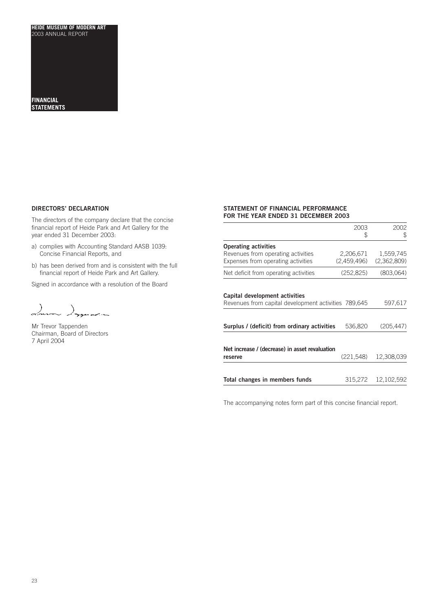**FINANCIAL STATEMENTS**

# **DIRECTORS' DECLARATION DIRECTORS' DECLARATION**

The directors of the company declare that the concise financial report of Heide Park and Art Gallery for the year ended 31 December 2003:

- a) complies with Accounting Standard AASB 1039: Concise Financial Reports, and
- b) has been derived from and is consistent with the full financial report of Heide Park and Art Gallery.

Signed in accordance with a resolution of the Board

 $\lambda$ .<br>باستان محصوص معد

Mr Trevor Tappenden Chairman, Board of Directors 7 April 2004

# **STATEMENT OF FINANCIAL PERFORMANCE FOR THE YEAR ENDED 31 DECEMBER 2003**

|                                                                                        | 2003<br>S                | 2002<br>\$               |
|----------------------------------------------------------------------------------------|--------------------------|--------------------------|
| <b>Operating activities</b>                                                            |                          |                          |
| Revenues from operating activities<br>Expenses from operating activities               | 2,206,671<br>(2,459,496) | 1,559,745<br>(2,362,809) |
| Net deficit from operating activities                                                  | (252, 825)               | (803,064)                |
| Capital development activities<br>Revenues from capital development activities 789,645 |                          | 597,617                  |
| Surplus / (deficit) from ordinary activities                                           | 536,820                  | (205, 447)               |
| Net increase / (decrease) in asset revaluation<br>reserve                              | (221, 548)               | 12,308,039               |
| Total changes in members funds                                                         | 315,272                  | 12.102.592               |

The accompanying notes form part of this concise financial report.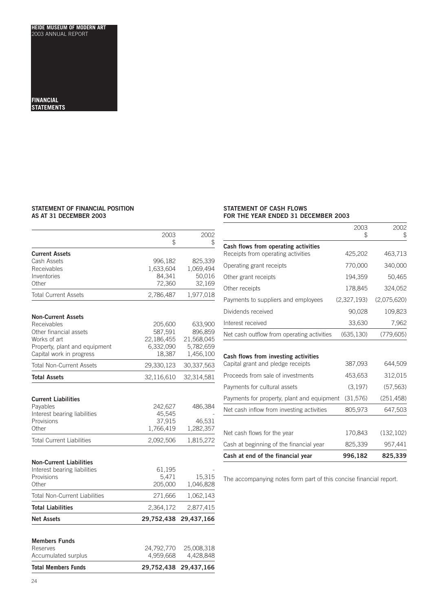### **FINANCIAL STATEMENTS**

# **STATEMENT OF FINANCIAL POSITION AS AT 31 DECEMBER 2003**

# **STATEMENT OF CASH FLOWS FOR THE YEAR ENDED 31 DECEMBER 2003**

| <b>Total Members Funds</b>                                                                                                                      | 29,752,438                                              | 29,437,166                                                 |
|-------------------------------------------------------------------------------------------------------------------------------------------------|---------------------------------------------------------|------------------------------------------------------------|
| Members Funds<br>Reserves<br>Accumulated surplus                                                                                                | 24,792,770<br>4,959,668                                 | 25,008,318<br>4,428,848                                    |
| <b>Net Assets</b>                                                                                                                               | 29,752,438                                              | 29,437,166                                                 |
| <b>Total Liabilities</b>                                                                                                                        | 2,364,172                                               | 2,877,415                                                  |
| <b>Total Non-Current Liabilities</b>                                                                                                            | 271,666                                                 | 1,062,143                                                  |
| <b>Non-Current Liabilities</b><br>Interest bearing liabilities<br>Provisions<br>Other                                                           | 61,195<br>5,471<br>205,000                              | 15,315<br>1,046,828                                        |
| <b>Total Current Liabilities</b>                                                                                                                | 2,092,506                                               | 1,815,272                                                  |
| Interest bearing liabilities<br>Provisions<br>Other                                                                                             | 45,545<br>37,915<br>1,766,419                           | 46,531<br>1,282,357                                        |
| <b>Current Liabilities</b><br>Payables                                                                                                          | 242,627                                                 | 486,384                                                    |
| <b>Total Assets</b>                                                                                                                             | 32,116,610                                              | 32,314,581                                                 |
| <b>Total Non-Current Assets</b>                                                                                                                 | 29,330,123                                              | 30,337,563                                                 |
| <b>Non-Current Assets</b><br>Receivables<br>Other financial assets<br>Works of art<br>Property, plant and equipment<br>Capital work in progress | 205,600<br>587,591<br>22,186,455<br>6,332,090<br>18,387 | 633,900<br>896,859<br>21,568,045<br>5,782,659<br>1,456,100 |
| <b>Total Current Assets</b>                                                                                                                     | 2,786,487                                               | 1,977,018                                                  |
| <b>Current Assets</b><br>Cash Assets<br>Receivables<br>Inventories<br>Other                                                                     | 996,182<br>1,633,604<br>84,341<br>72,360                | 825,339<br>1,069,494<br>50,016<br>32,169                   |
|                                                                                                                                                 | 2003<br>\$                                              | 2002<br>\$                                                 |

|                                            | 2003<br>2   | 2002<br>\$  |
|--------------------------------------------|-------------|-------------|
| Cash flows from operating activities       |             |             |
| Receipts from operating activities         | 425,202     | 463,713     |
| Operating grant receipts                   | 770,000     | 340,000     |
| Other grant receipts                       | 194,359     | 50,465      |
| Other receipts                             | 178,845     | 324,052     |
| Payments to suppliers and employees        | (2,327,193) | (2,075,620) |
| Dividends received                         | 90,028      | 109,823     |
| Interest received                          | 33,630      | 7,962       |
| Net cash outflow from operating activities | (635, 130)  | (779, 605)  |
| Cash flows from investing activities       |             |             |
| Capital grant and pledge receipts          | 387,093     | 644,509     |
| Proceeds from sale of investments          | 453,653     | 312,015     |
| Payments for cultural assets               | (3, 197)    | (57, 563)   |
| Payments for property, plant and equipment | (31, 576)   | (251, 458)  |
| Net cash inflow from investing activities  | 805,973     | 647,503     |

| Cash at end of the financial year       | 996.182 | 825.339    |
|-----------------------------------------|---------|------------|
| Cash at beginning of the financial year | 825.339 | 957.441    |
| Net cash flows for the year             | 170.843 | (132, 102) |
|                                         |         |            |

The accompanying notes form part of this concise financial report.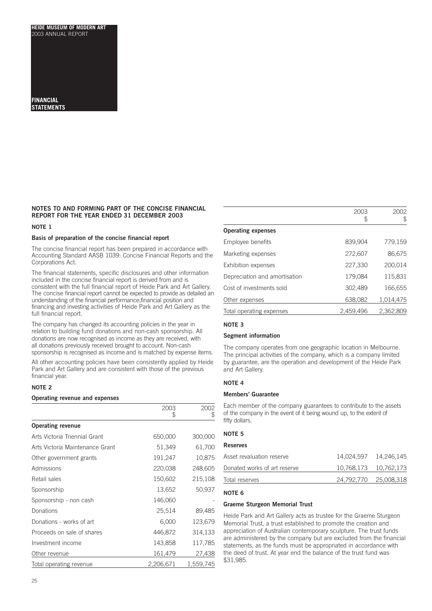# **FINANCIAL STATEMENTS**

# **NOTES TO AND FORMING PART OF THE CONCISE FINANCIAL REPORT FOR THE YEAR ENDED 31 DECEMBER 2003**

# **NOTE 1**

# **Basis of preparation of the concise financial report**

The concise financial report has been prepared in accordance with Accounting Standard AASB 1039: Concise Financial Reports and the Corporations Act.

The financial statements, specific disclosures and other information included in the concise financial report is derived from and is consistent with the full financial report of Heide Park and Art Gallery. The concise financial report cannot be expected to provide as detailed an understanding of the financial performance,financial position and financing and investing activities of Heide Park and Art Gallery as the full financial report.

The company has changed its accounting policies in the year in relation to building fund donations and non-cash sponsorship. All donations are now recognised as income as they are received, with all donations previously received brought to account. Non-cash sponsorship is recognised as income and is matched by expense items.

All other accounting policies have been consistently applied by Heide Park and Art Gallery and are consistent with those of the previous financial year.

# **NOTE 2**

### **Operating revenue and expenses**

|                                 | 2003<br>\$ | 2002<br>\$ |
|---------------------------------|------------|------------|
| <b>Operating revenue</b>        |            |            |
| Arts Victoria Triennial Grant   | 650,000    | 300,000    |
| Arts Victoria Maintenance Grant | 51,349     | 61,700     |
| Other government grants         | 191,247    | 10,875     |
| Admissions                      | 220,038    | 248,605    |
| Retail sales                    | 150,602    | 215,108    |
| Sponsorship                     | 13,652     | 50,937     |
| Sponsorship - non cash          | 146,060    |            |
| Donations                       | 25,514     | 89,485     |
| Donations - works of art        | 6,000      | 123,679    |
| Proceeds on sale of shares      | 446,872    | 314,133    |
| Investment income               | 143,858    | 117,785    |
| Other revenue                   | 161,479    | 27,438     |
| Total operating revenue         | 2,206,671  | 1,559,745  |

|                               | 2003      | 2002      |
|-------------------------------|-----------|-----------|
|                               | ₩         | \$        |
| <b>Operating expenses</b>     |           |           |
| Employee benefits             | 839,904   | 779,159   |
| Marketing expenses            | 272,607   | 86,675    |
| Exhibition expenses           | 227,330   | 200,014   |
| Depreciation and amortisation | 179,084   | 115,831   |
| Cost of investments sold      | 302,489   | 166,655   |
| Other expenses                | 638,082   | 1,014,475 |
| Total operating expenses      | 2,459,496 | 2,362,809 |
|                               |           |           |

# **NOTE 3**

# **Segment information**

The company operates from one geographic location in Melbourne. The principal activities of the company, which is a company limited by guarantee, are the operation and development of the Heide Park and Art Gallery.

# **NOTE 4**

# **Members' Guarantee**

Each member of the company guarantees to contribute to the assets of the company in the event of it being wound up, to the extent of fifty dollars.

# **NOTE 5**

| <b>Reserves</b>              |                        |
|------------------------------|------------------------|
| Asset revaluation reserve    |                        |
| Donated works of art reserve | 10,768,173  10,762,173 |
| Total reserves               | 24,792,770 25,008,318  |

# **NOTE 6**

# **Graeme Sturgeon Memorial Trust**

Heide Park and Art Gallery acts as trustee for the Graeme Sturgeon Memorial Trust, a trust established to promote the creation and appreciation of Australian contemporary sculpture. The trust funds are administered by the company but are excluded from the financial statements, as the funds must be appropriated in accordance with the deed of trust. At year end the balance of the trust fund was \$31,985.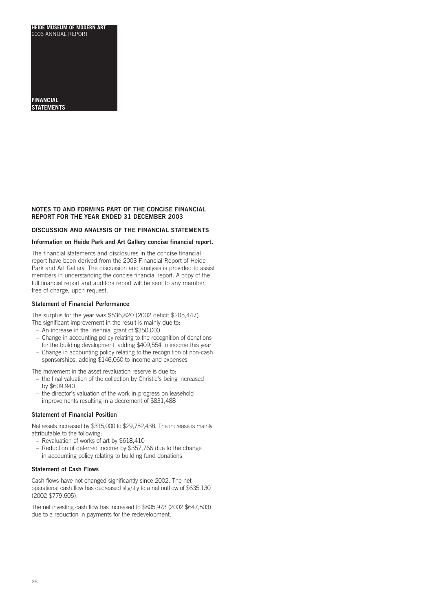# **FINANCIAL STATEMENTS**

# **NOTES TO AND FORMING PART OF THE CONCISE FINANCIAL REPORT FOR THE YEAR ENDED 31 DECEMBER 2003**

# **DISCUSSION AND ANALYSIS OF THE FINANCIAL STATEMENTS**

# **Information on Heide Park and Art Gallery concise financial report.**

The financial statements and disclosures in the concise financial report have been derived from the 2003 Financial Report of Heide Park and Art Gallery. The discussion and analysis is provided to assist members in understanding the concise financial report. A copy of the full financial report and auditors report will be sent to any member, free of charge, upon request.

## **Statement of Financial Performance**

The surplus for the year was \$536,820 (2002 deficit \$205,447).

- The significant improvement in the result is mainly due to:
- An increase in the Triennial grant of \$350,000
- Change in accounting policy relating to the recognition of donations for the building development, adding \$409,554 to income this year
- Change in accounting policy relating to the recognition of non-cash sponsorships, adding \$146,060 to income and expenses

The movement in the asset revaluation reserve is due to:

- the final valuation of the collection by Christie's being increased by \$609,940
- the director's valuation of the work in progress on leasehold improvements resulting in a decrement of \$831,488

# **Statement of Financial Position**

Net assets increased by \$315,000 to \$29,752,438. The increase is mainly attributable to the following:

- Revaluation of works of art by \$618,410
- Reduction of deferred income by \$357,766 due to the change in accounting policy relating to building fund donations

# **Statement of Cash Flows**

Cash flows have not changed significantly since 2002. The net operational cash flow has decreased slightly to a net outflow of \$635,130 (2002 \$779,605).

The net investing cash flow has increased to \$805,973 (2002 \$647,503) due to a reduction in payments for the redevelopment.